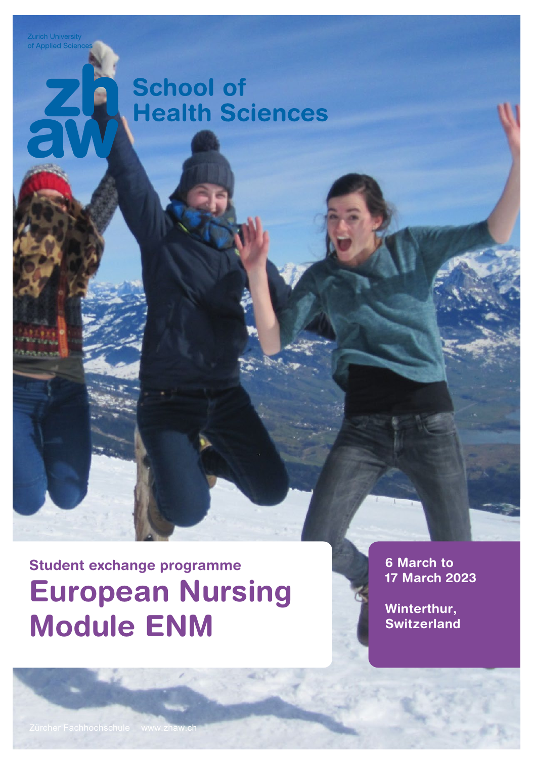**Zurich University**<br>of Applied Sciend

# **School of Health Sciences**

Student exchange programme European Nursing Module ENM

6 March to 17 March 2023

Winterthur, **Switzerland**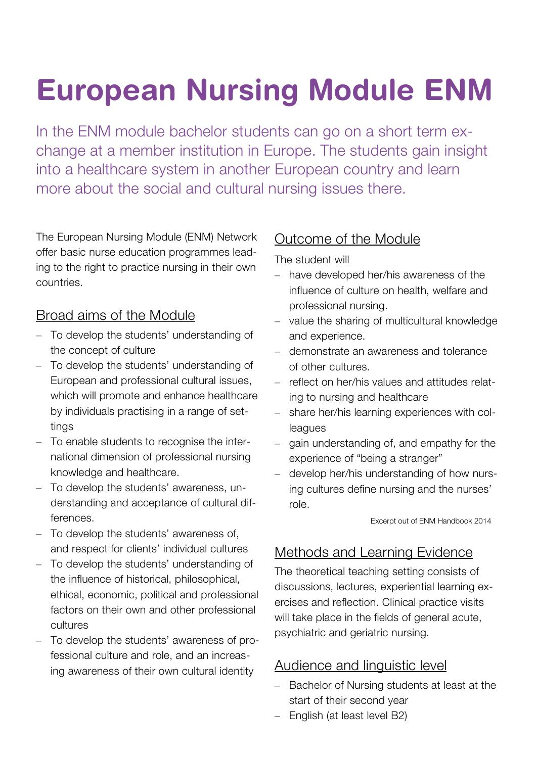# European Nursing Module ENM

In the ENM module bachelor students can go on a short term exchange at a member institution in Europe. The students gain insight into a healthcare system in another European country and learn more about the social and cultural nursing issues there.

The European Nursing Module (ENM) Network offer basic nurse education programmes leading to the right to practice nursing in their own countries.

#### Broad aims of the Module

- To develop the students' understanding of the concept of culture
- To develop the students' understanding of European and professional cultural issues, which will promote and enhance healthcare by individuals practising in a range of settings
- To enable students to recognise the international dimension of professional nursing knowledge and healthcare.
- To develop the students' awareness, understanding and acceptance of cultural differences.
- To develop the students' awareness of, and respect for clients' individual cultures
- To develop the students' understanding of the influence of historical, philosophical, ethical, economic, political and professional factors on their own and other professional cultures
- To develop the students' awareness of professional culture and role, and an increasing awareness of their own cultural identity

#### Outcome of the Module

The student will

- have developed her/his awareness of the influence of culture on health, welfare and professional nursing.
- value the sharing of multicultural knowledge and experience.
- demonstrate an awareness and tolerance of other cultures.
- reflect on her/his values and attitudes relating to nursing and healthcare
- share her/his learning experiences with colleagues
- gain understanding of, and empathy for the experience of "being a stranger"
- develop her/his understanding of how nursing cultures define nursing and the nurses' role.

Excerpt out of ENM Handbook 2014

#### Methods and Learning Evidence

The theoretical teaching setting consists of discussions, lectures, experiential learning exercises and reflection. Clinical practice visits will take place in the fields of general acute, psychiatric and geriatric nursing.

#### Audience and linguistic level

- Bachelor of Nursing students at least at the start of their second year
- English (at least level B2)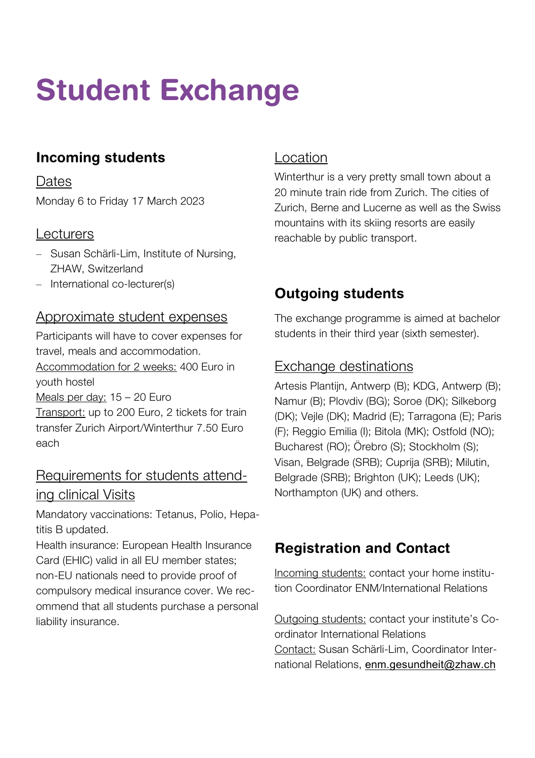# Student Exchange

## Incoming students

**Dates** Monday 6 to Friday 17 March 2023

#### **Lecturers**

- Susan Schärli-Lim, Institute of Nursing, ZHAW, Switzerland
- International co-lecturer(s)

#### Approximate student expenses

Participants will have to cover expenses for travel, meals and accommodation. Accommodation for 2 weeks: 400 Euro in youth hostel Meals per day: 15 – 20 Euro Transport: up to 200 Euro, 2 tickets for train transfer Zurich Airport/Winterthur 7.50 Euro each

#### Requirements for students attending clinical Visits

Mandatory vaccinations: Tetanus, Polio, Hepatitis B updated.

Health insurance: European Health Insurance Card (EHIC) valid in all EU member states; non-EU nationals need to provide proof of compulsory medical insurance cover. We recommend that all students purchase a personal liability insurance.

#### Location

Winterthur is a very pretty small town about a 20 minute train ride from Zurich. The cities of Zurich, Berne and Lucerne as well as the Swiss mountains with its skiing resorts are easily reachable by public transport.

### Outgoing students

The exchange programme is aimed at bachelor students in their third year (sixth semester).

#### Exchange destinations

Artesis Plantiin, Antwerp (B); KDG, Antwerp (B); Namur (B); Plovdiv (BG); Soroe (DK); Silkeborg (DK); Vejle (DK); Madrid (E); Tarragona (E); Paris (F); Reggio Emilia (I); Bitola (MK); Ostfold (NO); Bucharest (RO); Örebro (S); Stockholm (S); Visan, Belgrade (SRB); Cuprija (SRB); Milutin, Belgrade (SRB); Brighton (UK); Leeds (UK); Northampton (UK) and others.

### Registration and Contact

Incoming students: contact your home institution Coordinator ENM/International Relations

Outgoing students: contact your institute's Coordinator International Relations Contact: Susan Schärli-Lim, Coordinator International Relations, [enm.gesundheit@zhaw.ch](mailto:enm.gesundheit@zhaw.ch)